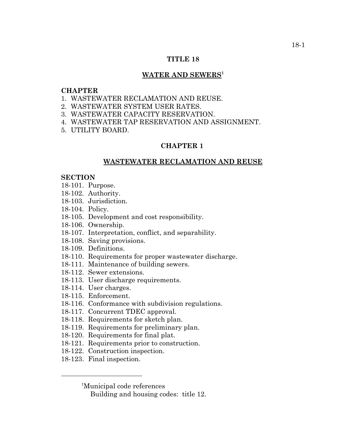# **TITLE 18**

# WATER AND SEWERS<sup>1</sup>

# **CHAPTER**

- 1. WASTEWATER RECLAMATION AND REUSE.
- 2. WASTEWATER SYSTEM USER RATES.
- 3. WASTEWATER CAPACITY RESERVATION.
- 4. WASTEWATER TAP RESERVATION AND ASSIGNMENT.
- 5. UTILITY BOARD.

# **CHAPTER 1**

# **WASTEWATER RECLAMATION AND REUSE**

## **SECTION**

- 18-101. Purpose.
- 18-102. Authority.
- 18-103. Jurisdiction.
- 18-104. Policy.
- 18-105. Development and cost responsibility.
- 18-106. Ownership.
- 18-107. Interpretation, conflict, and separability.
- 18-108. Saving provisions.
- 18-109. Definitions.
- 18-110. Requirements for proper wastewater discharge.
- 18-111. Maintenance of building sewers.
- 18-112. Sewer extensions.
- 18-113. User discharge requirements.
- 18-114. User charges.
- 18-115. Enforcement.
- 18-116. Conformance with subdivision regulations.
- 18-117. Concurrent TDEC approval.
- 18-118. Requirements for sketch plan.
- 18-119. Requirements for preliminary plan.
- 18-120. Requirements for final plat.
- 18-121. Requirements prior to construction.
- 18-122. Construction inspection.
- 18-123. Final inspection.

<sup>1</sup>Municipal code references

Building and housing codes: title 12.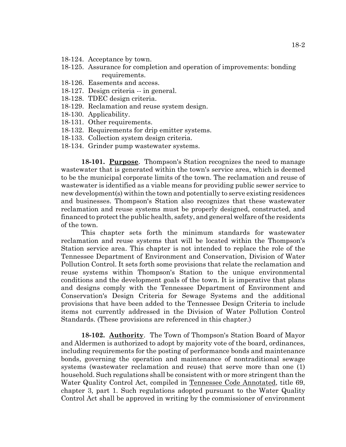- 18-124. Acceptance by town.
- 18-125. Assurance for completion and operation of improvements: bonding requirements.
- 18-126. Easements and access.
- 18-127. Design criteria -- in general.
- 18-128. TDEC design criteria.
- 18-129. Reclamation and reuse system design.
- 18-130. Applicability.
- 18-131. Other requirements.
- 18-132. Requirements for drip emitter systems.
- 18-133. Collection system design criteria.
- 18-134. Grinder pump wastewater systems.

**18-101. Purpose**. Thompson's Station recognizes the need to manage wastewater that is generated within the town's service area, which is deemed to be the municipal corporate limits of the town. The reclamation and reuse of wastewater is identified as a viable means for providing public sewer service to new development(s) within the town and potentially to serve existing residences and businesses. Thompson's Station also recognizes that these wastewater reclamation and reuse systems must be properly designed, constructed, and financed to protect the public health, safety, and general welfare of the residents of the town.

This chapter sets forth the minimum standards for wastewater reclamation and reuse systems that will be located within the Thompson's Station service area. This chapter is not intended to replace the role of the Tennessee Department of Environment and Conservation, Division of Water Pollution Control. It sets forth some provisions that relate the reclamation and reuse systems within Thompson's Station to the unique environmental conditions and the development goals of the town. It is imperative that plans and designs comply with the Tennessee Department of Environment and Conservation's Design Criteria for Sewage Systems and the additional provisions that have been added to the Tennessee Design Criteria to include items not currently addressed in the Division of Water Pollution Control Standards. (These provisions are referenced in this chapter.)

**18-102. Authority**. The Town of Thompson's Station Board of Mayor and Aldermen is authorized to adopt by majority vote of the board, ordinances, including requirements for the posting of performance bonds and maintenance bonds, governing the operation and maintenance of nontraditional sewage systems (wastewater reclamation and reuse) that serve more than one (1) household. Such regulations shall be consistent with or more stringent than the Water Quality Control Act, compiled in Tennessee Code Annotated, title 69, chapter 3, part 1. Such regulations adopted pursuant to the Water Quality Control Act shall be approved in writing by the commissioner of environment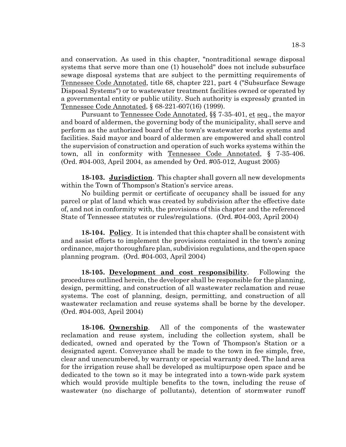and conservation. As used in this chapter, "nontraditional sewage disposal systems that serve more than one (1) household" does not include subsurface sewage disposal systems that are subject to the permitting requirements of Tennessee Code Annotated, title 68, chapter 221, part 4 ("Subsurface Sewage Disposal Systems") or to wastewater treatment facilities owned or operated by a governmental entity or public utility. Such authority is expressly granted in Tennessee Code Annotated, § 68-221-607(16) (1999).

Pursuant to Tennessee Code Annotated, §§ 7-35-401, et seq., the mayor and board of aldermen, the governing body of the municipality, shall serve and perform as the authorized board of the town's wastewater works systems and facilities. Said mayor and board of aldermen are empowered and shall control the supervision of construction and operation of such works systems within the town, all in conformity with Tennessee Code Annotated, § 7-35-406. (Ord. #04-003, April 2004, as amended by Ord. #05-012, August 2005)

**18-103. Jurisdiction**. This chapter shall govern all new developments within the Town of Thompson's Station's service areas.

No building permit or certificate of occupancy shall be issued for any parcel or plat of land which was created by subdivision after the effective date of, and not in conformity with, the provisions of this chapter and the referenced State of Tennessee statutes or rules/regulations. (Ord. #04-003, April 2004)

**18-104. Policy**. It is intended that this chapter shall be consistent with and assist efforts to implement the provisions contained in the town's zoning ordinance, major thoroughfare plan, subdivision regulations, and the open space planning program. (Ord. #04-003, April 2004)

**18-105. Development and cost responsibility**. Following the procedures outlined herein, the developer shall be responsible for the planning, design, permitting, and construction of all wastewater reclamation and reuse systems. The cost of planning, design, permitting, and construction of all wastewater reclamation and reuse systems shall be borne by the developer. (Ord. #04-003, April 2004)

**18-106. Ownership**. All of the components of the wastewater reclamation and reuse system, including the collection system, shall be dedicated, owned and operated by the Town of Thompson's Station or a designated agent. Conveyance shall be made to the town in fee simple, free, clear and unencumbered, by warranty or special warranty deed. The land area for the irrigation reuse shall be developed as multipurpose open space and be dedicated to the town so it may be integrated into a town-wide park system which would provide multiple benefits to the town, including the reuse of wastewater (no discharge of pollutants), detention of stormwater runoff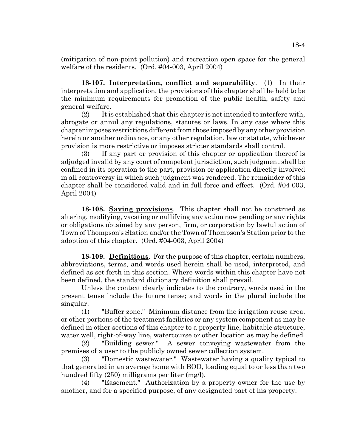(mitigation of non-point pollution) and recreation open space for the general welfare of the residents. (Ord. #04-003, April 2004)

**18-107. Interpretation, conflict and separability**. (1) In their interpretation and application, the provisions of this chapter shall be held to be the minimum requirements for promotion of the public health, safety and general welfare.

(2) It is established that this chapter is not intended to interfere with, abrogate or annul any regulations, statutes or laws. In any case where this chapter imposes restrictions different from those imposed by any other provision herein or another ordinance, or any other regulation, law or statute, whichever provision is more restrictive or imposes stricter standards shall control.

(3) If any part or provision of this chapter or application thereof is adjudged invalid by any court of competent jurisdiction, such judgment shall be confined in its operation to the part, provision or application directly involved in all controversy in which such judgment was rendered. The remainder of this chapter shall be considered valid and in full force and effect. (Ord. #04-003, April 2004)

**18-108. Saving provisions**. This chapter shall not he construed as altering, modifying, vacating or nullifying any action now pending or any rights or obligations obtained by any person, firm, or corporation by lawful action of Town of Thompson's Station and/or the Town of Thompson's Station prior to the adoption of this chapter. (Ord. #04-003, April 2004)

**18-109. Definitions**. For the purpose of this chapter, certain numbers, abbreviations, terms, and words used herein shall be used, interpreted, and defined as set forth in this section. Where words within this chapter have not been defined, the standard dictionary definition shall prevail.

Unless the context clearly indicates to the contrary, words used in the present tense include the future tense; and words in the plural include the singular.

(1) "Buffer zone." Minimum distance from the irrigation reuse area, or other portions of the treatment facilities or any system component as may be defined in other sections of this chapter to a property line, habitable structure, water well, right-of-way line, watercourse or other location as may be defined.

(2) "Building sewer." A sewer conveying wastewater from the premises of a user to the publicly owned sewer collection system.

(3) "Domestic wastewater." Wastewater having a quality typical to that generated in an average home with BOD, loading equal to or less than two hundred fifty (250) milligrams per liter (mg/l).

(4) "Easement." Authorization by a property owner for the use by another, and for a specified purpose, of any designated part of his property.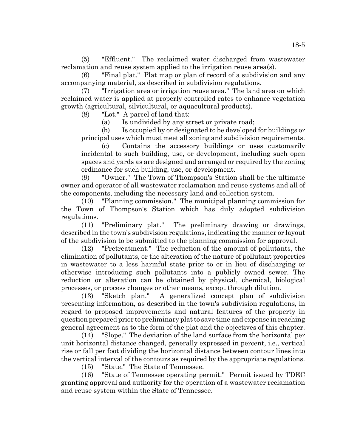(5) "Effluent." The reclaimed water discharged from wastewater reclamation and reuse system applied to the irrigation reuse area(s).

(6) "Final plat." Plat map or plan of record of a subdivision and any accompanying material, as described in subdivision regulations.

(7) "Irrigation area or irrigation reuse area." The land area on which reclaimed water is applied at properly controlled rates to enhance vegetation growth (agricultural, silvicultural, or aquacultural products).

(8) "Lot." A parcel of land that:

(a) Is undivided by any street or private road;

(b) Is occupied by or designated to be developed for buildings or principal uses which must meet all zoning and subdivision requirements.

(c) Contains the accessory buildings or uses customarily incidental to such building, use, or development, including such open spaces and yards as are designed and arranged or required by the zoning ordinance for such building, use, or development.

(9) "Owner." The Town of Thompson's Station shall be the ultimate owner and operator of all wastewater reclamation and reuse systems and all of the components, including the necessary land and collection system.

(10) "Planning commission." The municipal planning commission for the Town of Thompson's Station which has duly adopted subdivision regulations.

(11) "Preliminary plat." The preliminary drawing or drawings, described in the town's subdivision regulations, indicating the manner or layout of the subdivision to be submitted to the planning commission for approval.

(12) "Pretreatment." The reduction of the amount of pollutants, the elimination of pollutants, or the alteration of the nature of pollutant properties in wastewater to a less harmful state prior to or in lieu of discharging or otherwise introducing such pollutants into a publicly owned sewer. The reduction or alteration can be obtained by physical, chemical, biological processes, or process changes or other means, except through dilution.

(13) "Sketch plan." A generalized concept plan of subdivision presenting information, as described in the town's subdivision regulations, in regard to proposed improvements and natural features of the property in question prepared prior to preliminary plat to save time and expense in reaching general agreement as to the form of the plat and the objectives of this chapter.

(14) "Slope." The deviation of the land surface from the horizontal per unit horizontal distance changed, generally expressed in percent, i.e., vertical rise or fall per foot dividing the horizontal distance between contour lines into the vertical interval of the contours as required by the appropriate regulations.

(15) "State." The State of Tennessee.

(16) "State of Tennessee operating permit." Permit issued by TDEC granting approval and authority for the operation of a wastewater reclamation and reuse system within the State of Tennessee.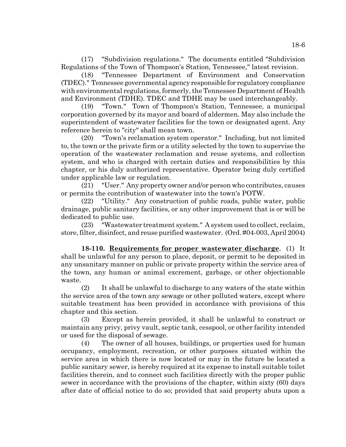(17) "Subdivision regulations." The documents entitled "Subdivision Regulations of the Town of Thompson's Station, Tennessee," latest revision.

(18) "Tennessee Department of Environment and Conservation (TDEC)." Tennessee governmental agency responsible for regulatory compliance with environmental regulations, formerly, the Tennessee Department of Health and Environment (TDHE). TDEC and TDHE may be used interchangeably.

(19) "Town." Town of Thompson's Station, Tennessee, a municipal corporation governed by its mayor and board of aldermen. May also include the superintendent of wastewater facilities for the town or designated agent. Any reference herein to "city" shall mean town.

(20) "Town's reclamation system operator." Including, but not limited to, the town or the private firm or a utility selected by the town to supervise the operation of the wastewater reclamation and reuse systems, and collection system, and who is charged with certain duties and responsibilities by this chapter, or his duly authorized representative. Operator being duly certified under applicable law or regulation.

(21) "User." Any property owner and/or person who contributes, causes or permits the contribution of wastewater into the town's POTW.

(22) "Utility." Any construction of public roads, public water, public drainage, public sanitary facilities, or any other improvement that is or will be dedicated to public use.

(23) "Wastewater treatment system." A system used to collect, reclaim, store, filter, disinfect, and reuse purified wastewater. (Ord. #04-003, April 2004)

**18-110. Requirements for proper wastewater discharge**. (1) It shall be unlawful for any person to place, deposit, or permit to be deposited in any unsanitary manner on public or private property within the service area of the town, any human or animal excrement, garbage, or other objectionable waste.

(2) It shall be unlawful to discharge to any waters of the state within the service area of the town any sewage or other polluted waters, except where suitable treatment has been provided in accordance with provisions of this chapter and this section.

(3) Except as herein provided, it shall be unlawful to construct or maintain any privy, privy vault, septic tank, cesspool, or other facility intended or used for the disposal of sewage.

(4) The owner of all houses, buildings, or properties used for human occupancy, employment, recreation, or other purposes situated within the service area in which there is now located or may in the future be located a public sanitary sewer, is hereby required at its expense to install suitable toilet facilities therein, and to connect such facilities directly with the proper public sewer in accordance with the provisions of the chapter, within sixty (60) days after date of official notice to do so; provided that said property abuts upon a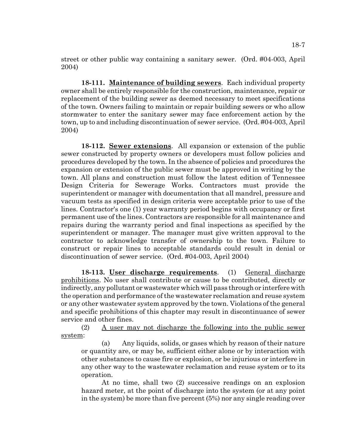street or other public way containing a sanitary sewer. (Ord. #04-003, April 2004)

**18-111. Maintenance of building sewers**. Each individual property owner shall be entirely responsible for the construction, maintenance, repair or replacement of the building sewer as deemed necessary to meet specifications of the town. Owners failing to maintain or repair building sewers or who allow stormwater to enter the sanitary sewer may face enforcement action by the town, up to and including discontinuation of sewer service. (Ord. #04-003, April 2004)

**18-112. Sewer extensions**. All expansion or extension of the public sewer constructed by property owners or developers must follow policies and procedures developed by the town. In the absence of policies and procedures the expansion or extension of the public sewer must be approved in writing by the town. All plans and construction must follow the latest edition of Tennessee Design Criteria for Sewerage Works. Contractors must provide the superintendent or manager with documentation that all mandrel, pressure and vacuum tests as specified in design criteria were acceptable prior to use of the lines. Contractor's one (1) year warranty period begins with occupancy or first permanent use of the lines. Contractors are responsible for all maintenance and repairs during the warranty period and final inspections as specified by the superintendent or manager. The manager must give written approval to the contractor to acknowledge transfer of ownership to the town. Failure to construct or repair lines to acceptable standards could result in denial or discontinuation of sewer service. (Ord. #04-003, April 2004)

**18-113. User discharge requirements**. (1) General discharge prohibitions. No user shall contribute or cause to be contributed, directly or indirectly, any pollutant or wastewater which will pass through or interfere with the operation and performance of the wastewater reclamation and reuse system or any other wastewater system approved by the town. Violations of the general and specific prohibitions of this chapter may result in discontinuance of sewer service and other fines.

(2) A user may not discharge the following into the public sewer system:

(a) Any liquids, solids, or gases which by reason of their nature or quantity are, or may be, sufficient either alone or by interaction with other substances to cause fire or explosion, or be injurious or interfere in any other way to the wastewater reclamation and reuse system or to its operation.

At no time, shall two (2) successive readings on an explosion hazard meter, at the point of discharge into the system (or at any point in the system) be more than five percent (5%) nor any single reading over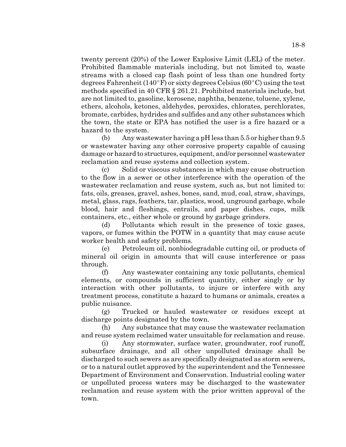twenty percent (20%) of the Lower Explosive Limit (LEL) of the meter. Prohibited flammable materials including, but not limited to, waste streams with a closed cap flash point of less than one hundred forty degrees Fahrenheit (140°F) or sixty degrees Celsius (60°C) using the test methods specified in 40 CFR § 261.21. Prohibited materials include, but are not limited to, gasoline, kerosene, naphtha, benzene, toluene, xylene, ethers, alcohols, ketones, aldehydes, peroxides, chlorates, perchlorates, bromate, carbides, hydrides and sulfides and any other substances which the town, the state or EPA has notified the user is a fire hazard or a hazard to the system.

(b) Any wastewater having a pH less than 5.5 or higher than 9.5 or wastewater having any other corrosive property capable of causing damage or hazard to structures, equipment, and/or personnel wastewater reclamation and reuse systems and collection system.

(c) Solid or viscous substances in which may cause obstruction to the flow in a sewer or other interference with the operation of the wastewater reclamation and reuse system, such as, but not limited to: fats, oils, greases, gravel, ashes, bones, sand, mud, coal, straw, shavings, metal, glass, rags, feathers, tar, plastics, wood, unground garbage, whole blood, hair and fleshings, entrails, and paper dishes, cups, milk containers, etc., either whole or ground by garbage grinders.

(d) Pollutants which result in the presence of toxic gases, vapors, or fumes within the POTW in a quantity that may cause acute worker health and safety problems.

(e) Petroleum oil, nonbiodegradable cutting oil, or products of mineral oil origin in amounts that will cause interference or pass through.

(f) Any wastewater containing any toxic pollutants, chemical elements, or compounds in sufficient quantity, either singly or by interaction with other pollutants, to injure or interfere with any treatment process, constitute a hazard to humans or animals, creates a public nuisance.

(g) Trucked or hauled wastewater or residues except at discharge points designated by the town.

(h) Any substance that may cause the wastewater reclamation and reuse system reclaimed water unsuitable for reclamation and reuse.

(i) Any stormwater, surface water, groundwater, roof runoff, subsurface drainage, and all other unpolluted drainage shall be discharged to such sewers as are specifically designated as storm sewers, or to a natural outlet approved by the superintendent and the Tennessee Department of Environment and Conservation. Industrial cooling water or unpolluted process waters may be discharged to the wastewater reclamation and reuse system with the prior written approval of the town.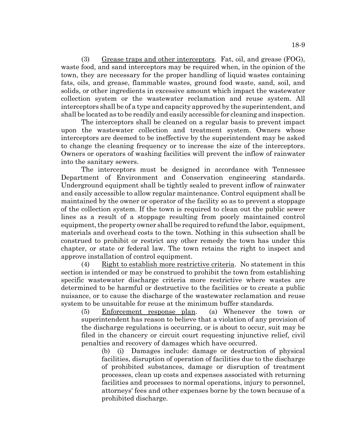(3) Grease traps and other interceptors. Fat, oil, and grease (FOG), waste food, and sand interceptors may be required when, in the opinion of the town, they are necessary for the proper handling of liquid wastes containing fats, oils, and grease, flammable wastes, ground food waste, sand, soil, and solids, or other ingredients in excessive amount which impact the wastewater collection system or the wastewater reclamation and reuse system. All interceptors shall be of a type and capacity approved by the superintendent, and shall be located as to be readily and easily accessible for cleaning and inspection.

The interceptors shall be cleaned on a regular basis to prevent impact upon the wastewater collection and treatment system. Owners whose interceptors are deemed to be ineffective by the superintendent may be asked to change the cleaning frequency or to increase the size of the interceptors. Owners or operators of washing facilities will prevent the inflow of rainwater into the sanitary sewers.

The interceptors must be designed in accordance with Tennessee Department of Environment and Conservation engineering standards. Underground equipment shall be tightly sealed to prevent inflow of rainwater and easily accessible to allow regular maintenance. Control equipment shall be maintained by the owner or operator of the facility so as to prevent a stoppage of the collection system. If the town is required to clean out the public sewer lines as a result of a stoppage resulting from poorly maintained control equipment, the property owner shall be required to refund the labor, equipment, materials and overhead costs to the town. Nothing in this subsection shall be construed to prohibit or restrict any other remedy the town has under this chapter, or state or federal law. The town retains the right to inspect and approve installation of control equipment.

(4) Right to establish more restrictive criteria. No statement in this section is intended or may be construed to prohibit the town from establishing specific wastewater discharge criteria more restrictive where wastes are determined to be harmful or destructive to the facilities or to create a public nuisance, or to cause the discharge of the wastewater reclamation and reuse system to be unsuitable for reuse at the minimum buffer standards.

(5) Enforcement response plan. (a) Whenever the town or superintendent has reason to believe that a violation of any provision of the discharge regulations is occurring, or is about to occur, suit may be filed in the chancery or circuit court requesting injunctive relief, civil penalties and recovery of damages which have occurred.

(b) (i) Damages include: damage or destruction of physical facilities, disruption of operation of facilities due to the discharge of prohibited substances, damage or disruption of treatment processes, clean up costs and expenses associated with returning facilities and processes to normal operations, injury to personnel, attorneys' fees and other expenses borne by the town because of a prohibited discharge.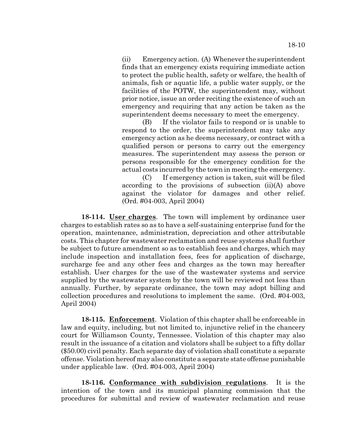(ii) Emergency action. (A) Whenever the superintendent finds that an emergency exists requiring immediate action to protect the public health, safety or welfare, the health of animals, fish or aquatic life, a public water supply, or the facilities of the POTW, the superintendent may, without prior notice, issue an order reciting the existence of such an emergency and requiring that any action be taken as the superintendent deems necessary to meet the emergency.

(B) If the violator fails to respond or is unable to respond to the order, the superintendent may take any emergency action as he deems necessary, or contract with a qualified person or persons to carry out the emergency measures. The superintendent may assess the person or persons responsible for the emergency condition for the actual costs incurred by the town in meeting the emergency.

(C) If emergency action is taken, suit will be filed according to the provisions of subsection (ii)(A) above against the violator for damages and other relief. (Ord. #04-003, April 2004)

**18-114. User charges**. The town will implement by ordinance user charges to establish rates so as to have a self-sustaining enterprise fund for the operation, maintenance, administration, depreciation and other attributable costs. This chapter for wastewater reclamation and reuse systems shall further be subject to future amendment so as to establish fees and charges, which may include inspection and installation fees, fees for application of discharge, surcharge fee and any other fees and charges as the town may hereafter establish. User charges for the use of the wastewater systems and service supplied by the wastewater system by the town will be reviewed not less than annually. Further, by separate ordinance, the town may adopt billing and collection procedures and resolutions to implement the same. (Ord. #04-003, April 2004)

**18-115. Enforcement**. Violation of this chapter shall be enforceable in law and equity, including, but not limited to, injunctive relief in the chancery court for Williamson County, Tennessee. Violation of this chapter may also result in the issuance of a citation and violators shall be subject to a fifty dollar (\$50.00) civil penalty. Each separate day of violation shall constitute a separate offense. Violation hereof may also constitute a separate state offense punishable under applicable law. (Ord. #04-003, April 2004)

**18-116. Conformance with subdivision regulations**. It is the intention of the town and its municipal planning commission that the procedures for submittal and review of wastewater reclamation and reuse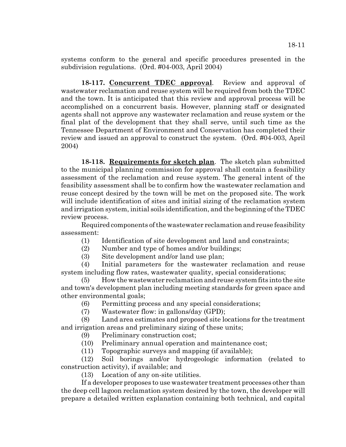systems conform to the general and specific procedures presented in the subdivision regulations. (Ord. #04-003, April 2004)

**18-117. Concurrent TDEC approval**. Review and approval of wastewater reclamation and reuse system will be required from both the TDEC and the town. It is anticipated that this review and approval process will be accomplished on a concurrent basis. However, planning staff or designated agents shall not approve any wastewater reclamation and reuse system or the final plat of the development that they shall serve, until such time as the Tennessee Department of Environment and Conservation has completed their review and issued an approval to construct the system. (Ord. #04-003, April 2004)

**18-118. Requirements for sketch plan**. The sketch plan submitted to the municipal planning commission for approval shall contain a feasibility assessment of the reclamation and reuse system. The general intent of the feasibility assessment shall be to confirm how the wastewater reclamation and reuse concept desired by the town will be met on the proposed site. The work will include identification of sites and initial sizing of the reclamation system and irrigation system, initial soils identification, and the beginning of the TDEC review process.

Required components of the wastewater reclamation and reuse feasibility assessment:

(1) Identification of site development and land and constraints;

(2) Number and type of homes and/or buildings;

(3) Site development and/or land use plan;

(4) Initial parameters for the wastewater reclamation and reuse system including flow rates, wastewater quality, special considerations;

(5) How the wastewater reclamation and reuse system fits into the site and town's development plan including meeting standards for green space and other environmental goals;

(6) Permitting process and any special considerations;

(7) Wastewater flow: in gallons/day (GPD);

(8) Land area estimates and proposed site locations for the treatment and irrigation areas and preliminary sizing of these units;

(9) Preliminary construction cost;

(10) Preliminary annual operation and maintenance cost;

(11) Topographic surveys and mapping (if available);

(12) Soil borings and/or hydrogeologic information (related to construction activity), if available; and

(13) Location of any on-site utilities.

If a developer proposes to use wastewater treatment processes other than the deep cell lagoon reclamation system desired by the town, the developer will prepare a detailed written explanation containing both technical, and capital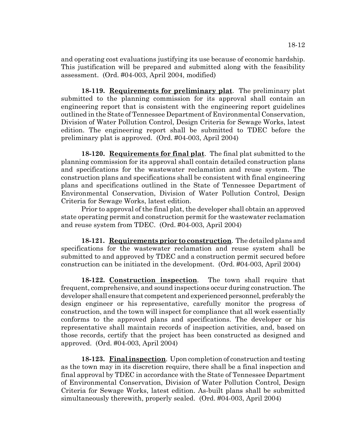and operating cost evaluations justifying its use because of economic hardship. This justification will be prepared and submitted along with the feasibility assessment. (Ord. #04-003, April 2004, modified)

**18-119. Requirements for preliminary plat**. The preliminary plat submitted to the planning commission for its approval shall contain an engineering report that is consistent with the engineering report guidelines outlined in the State of Tennessee Department of Environmental Conservation, Division of Water Pollution Control, Design Criteria for Sewage Works, latest edition. The engineering report shall be submitted to TDEC before the preliminary plat is approved. (Ord. #04-003, April 2004)

**18-120. Requirements for final plat**. The final plat submitted to the planning commission for its approval shall contain detailed construction plans and specifications for the wastewater reclamation and reuse system. The construction plans and specifications shall be consistent with final engineering plans and specifications outlined in the State of Tennessee Department of Environmental Conservation, Division of Water Pollution Control, Design Criteria for Sewage Works, latest edition.

Prior to approval of the final plat, the developer shall obtain an approved state operating permit and construction permit for the wastewater reclamation and reuse system from TDEC. (Ord. #04-003, April 2004)

**18-121. Requirements prior to construction**. The detailed plans and specifications for the wastewater reclamation and reuse system shall be submitted to and approved by TDEC and a construction permit secured before construction can be initiated in the development. (Ord. #04-003, April 2004)

**18-122. Construction inspection**. The town shall require that frequent, comprehensive, and sound inspections occur during construction. The developer shall ensure that competent and experienced personnel, preferably the design engineer or his representative, carefully monitor the progress of construction, and the town will inspect for compliance that all work essentially conforms to the approved plans and specifications. The developer or his representative shall maintain records of inspection activities, and, based on those records, certify that the project has been constructed as designed and approved. (Ord. #04-003, April 2004)

**18-123. Final inspection**. Upon completion of construction and testing as the town may in its discretion require, there shall be a final inspection and final approval by TDEC in accordance with the State of Tennessee Department of Environmental Conservation, Division of Water Pollution Control, Design Criteria for Sewage Works, latest edition. As-built plans shall be submitted simultaneously therewith, properly sealed. (Ord. #04-003, April 2004)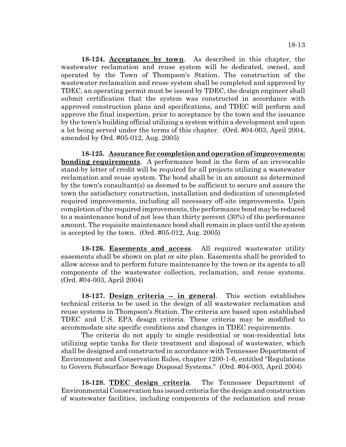**18-124. Acceptance by town**. As described in this chapter, the wastewater reclamation and reuse system will be dedicated, owned, and operated by the Town of Thompson's Station. The construction of the wastewater reclamation and reuse system shall be completed and approved by TDEC, an operating permit must be issued by TDEC, the design engineer shall submit certification that the system was constructed in accordance with approved construction plans and specifications, and TDEC will perform and approve the final inspection, prior to acceptance by the town and the issuance by the town's building official utilizing a system within a development and upon a lot being served under the terms of this chapter. (Ord. #04-003, April 2004, amended by Ord. #05-012, Aug. 2005)

**18-125. Assurance for completion and operation of improvements: bonding requirements**. A performance bond in the form of an irrevocable stand-by letter of credit will be required for all projects utilizing a wastewater reclamation and reuse system. The bond shall be in an amount as determined by the town's consultant(s) as deemed to be sufficient to secure and assure the town the satisfactory construction, installation and dedication of uncompleted required improvements, including all necessary off-site improvements. Upon completion of the required improvements, the performance bond may be reduced to a maintenance bond of not less than thirty percent (30%) of the performance amount. The requisite maintenance bond shall remain in place until the system is accepted by the town. (Ord. #05-012, Aug. 2005)

**18-126. Easements and access**. All required wastewater utility easements shall be shown on plat or site plan. Easements shall be provided to allow access and to perform future maintenance by the town or its agents to all components of the wastewater collection, reclamation, and reuse systems. (Ord. #04-003, April 2004)

18-127. Design criteria -- in general. This section establishes technical criteria to be used in the design of all wastewater reclamation and reuse systems in Thompson's Station. The criteria are based upon established TDEC and U.S. EPA design criteria. These criteria may be modified to accommodate site specific conditions and changes in TDEC requirements.

The criteria do not apply to single residential or non-residential lots utilizing septic tanks for their treatment and disposal of wastewater, which shall be designed and constructed in accordance with Tennessee Department of Environment and Conservation Rules, chapter 1200-1-6, entitled "Regulations to Govern Subsurface Sewage Disposal Systems." (Ord. #04-003, April 2004)

**18-128. TDEC design criteria**. The Tennessee Department of Environmental Conservation has issued criteria for the design and construction of wastewater facilities, including components of the reclamation and reuse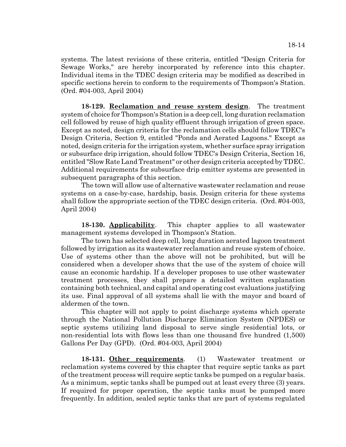systems. The latest revisions of these criteria, entitled "Design Criteria for Sewage Works," are hereby incorporated by reference into this chapter. Individual items in the TDEC design criteria may be modified as described in specific sections herein to conform to the requirements of Thompson's Station. (Ord. #04-003, April 2004)

**18-129. Reclamation and reuse system design**. The treatment system of choice for Thompson's Station is a deep cell, long duration reclamation cell followed by reuse of high quality effluent through irrigation of green space. Except as noted, design criteria for the reclamation cells should follow TDEC's Design Criteria, Section 9, entitled "Ponds and Aerated Lagoons." Except as noted, design criteria for the irrigation system, whether surface spray irrigation or subsurface drip irrigation, should follow TDEC's Design Criteria, Section 16, entitled "Slow Rate Land Treatment" or other design criteria accepted by TDEC. Additional requirements for subsurface drip emitter systems are presented in subsequent paragraphs of this section.

The town will allow use of alternative wastewater reclamation and reuse systems on a case-by-case, hardship, basis. Design criteria for these systems shall follow the appropriate section of the TDEC design criteria. (Ord. #04-003, April 2004)

**18-130. Applicability**. This chapter applies to all wastewater management systems developed in Thompson's Station.

The town has selected deep cell, long duration aerated lagoon treatment followed by irrigation as its wastewater reclamation and reuse system of choice. Use of systems other than the above will not be prohibited, but will be considered when a developer shows that the use of the system of choice will cause an economic hardship. If a developer proposes to use other wastewater treatment processes, they shall prepare a detailed written explanation containing both technical, and capital and operating cost evaluations justifying its use. Final approval of all systems shall lie with the mayor and board of aldermen of the town.

This chapter will not apply to point discharge systems which operate through the National Pollution Discharge Elimination System (NPDES) or septic systems utilizing land disposal to serve single residential lots, or non-residential lots with flows less than one thousand five hundred (1,500) Gallons Per Day (GPD). (Ord. #04-003, April 2004)

**18-131. Other requirements**. (1) Wastewater treatment or reclamation systems covered by this chapter that require septic tanks as part of the treatment process will require septic tanks be pumped on a regular basis. As a minimum, septic tanks shall be pumped out at least every three (3) years. If required for proper operation, the septic tanks must be pumped more frequently. In addition, sealed septic tanks that are part of systems regulated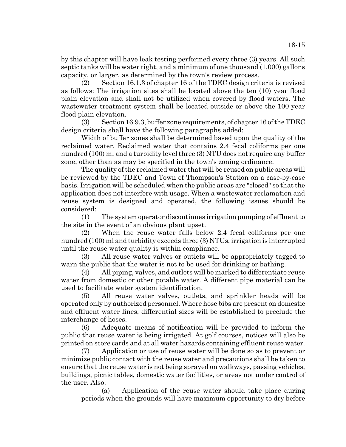by this chapter will have leak testing performed every three (3) years. All such septic tanks will be water tight, and a minimum of one thousand (1,000) gallons capacity, or larger, as determined by the town's review process.

(2) Section 16.1.3 of chapter 16 of the TDEC design criteria is revised as follows: The irrigation sites shall be located above the ten (10) year flood plain elevation and shall not be utilized when covered by flood waters. The wastewater treatment system shall be located outside or above the 100-year flood plain elevation.

(3) Section 16.9.3, buffer zone requirements, of chapter 16 of the TDEC design criteria shall have the following paragraphs added:

Width of buffer zones shall be determined based upon the quality of the reclaimed water. Reclaimed water that contains 2.4 fecal coliforms per one hundred (100) ml and a turbidity level three (3) NTU does not require any buffer zone, other than as may be specified in the town's zoning ordinance.

The quality of the reclaimed water that will be reused on public areas will be reviewed by the TDEC and Town of Thompson's Station on a case-by-case basis. Irrigation will be scheduled when the public areas are "closed" so that the application does not interfere with usage. When a wastewater reclamation and reuse system is designed and operated, the following issues should be considered:

(1) The system operator discontinues irrigation pumping of effluent to the site in the event of an obvious plant upset.

(2) When the reuse water falls below 2.4 fecal coliforms per one hundred (100) ml and turbidity exceeds three (3) NTUs, irrigation is interrupted until the reuse water quality is within compliance.

(3) All reuse water valves or outlets will be appropriately tagged to warn the public that the water is not to be used for drinking or bathing.

(4) All piping, valves, and outlets will be marked to differentiate reuse water from domestic or other potable water. A different pipe material can be used to facilitate water system identification.

(5) All reuse water valves, outlets, and sprinkler heads will be operated only by authorized personnel. Where hose bibs are present on domestic and effluent water lines, differential sizes will be established to preclude the interchange of hoses.

(6) Adequate means of notification will be provided to inform the public that reuse water is being irrigated. At golf courses, notices will also be printed on score cards and at all water hazards containing effluent reuse water.

(7) Application or use of reuse water will be done so as to prevent or minimize public contact with the reuse water and precautions shall be taken to ensure that the reuse water is not being sprayed on walkways, passing vehicles, buildings, picnic tables, domestic water facilities, or areas not under control of the user. Also:

(a) Application of the reuse water should take place during periods when the grounds will have maximum opportunity to dry before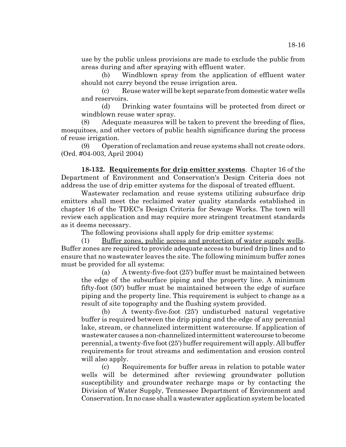(b) Windblown spray from the application of effluent water should not carry beyond the reuse irrigation area.

(c) Reuse water will be kept separate from domestic water wells and reservoirs.

(d) Drinking water fountains will be protected from direct or windblown reuse water spray.

(8) Adequate measures will be taken to prevent the breeding of flies, mosquitoes, and other vectors of public health significance during the process of reuse irrigation.

(9) Operation of reclamation and reuse systems shall not create odors. (Ord. #04-003, April 2004)

**18-132. Requirements for drip emitter systems**. Chapter 16 of the Department of Environment and Conservation's Design Criteria does not address the use of drip emitter systems for the disposal of treated effluent.

Wastewater reclamation and reuse systems utilizing subsurface drip emitters shall meet the reclaimed water quality standards established in chapter 16 of the TDEC's Design Criteria for Sewage Works. The town will review each application and may require more stringent treatment standards as it deems necessary.

The following provisions shall apply for drip emitter systems:

(1) Buffer zones, public access and protection of water supply wells. Buffer zones are required to provide adequate access to buried drip lines and to ensure that no wastewater leaves the site. The following minimum buffer zones must be provided for all systems:

(a) A twenty-five-foot (25') buffer must be maintained between the edge of the subsurface piping and the property line. A minimum fifty-foot (50') buffer must be maintained between the edge of surface piping and the property line. This requirement is subject to change as a result of site topography and the flushing system provided.

(b) A twenty-five-foot (25') undisturbed natural vegetative buffer is required between the drip piping and the edge of any perennial lake, stream, or channelized intermittent watercourse. If application of wastewater causes a non-channelized intermittent watercourse to become perennial, a twenty-five foot (25') buffer requirement will apply. All buffer requirements for trout streams and sedimentation and erosion control will also apply.

(c) Requirements for buffer areas in relation to potable water wells will be determined after reviewing groundwater pollution susceptibility and groundwater recharge maps or by contacting the Division of Water Supply, Tennessee Department of Environment and Conservation. In no case shall a wastewater application system be located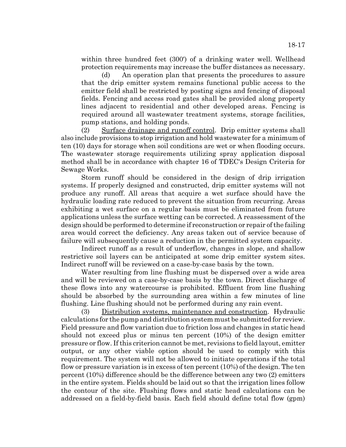within three hundred feet (300') of a drinking water well. Wellhead protection requirements may increase the buffer distances as necessary.

(d) An operation plan that presents the procedures to assure that the drip emitter system remains functional public access to the emitter field shall be restricted by posting signs and fencing of disposal fields. Fencing and access road gates shall be provided along property lines adjacent to residential and other developed areas. Fencing is required around all wastewater treatment systems, storage facilities, pump stations, and holding ponds.

(2) Surface drainage and runoff control. Drip emitter systems shall also include provisions to stop irrigation and hold wastewater for a minimum of ten (10) days for storage when soil conditions are wet or when flooding occurs. The wastewater storage requirements utilizing spray application disposal method shall be in accordance with chapter 16 of TDEC's Design Criteria for Sewage Works.

Storm runoff should be considered in the design of drip irrigation systems. If properly designed and constructed, drip emitter systems will not produce any runoff. All areas that acquire a wet surface should have the hydraulic loading rate reduced to prevent the situation from recurring. Areas exhibiting a wet surface on a regular basis must be eliminated from future applications unless the surface wetting can be corrected. A reassessment of the design should be performed to determine if reconstruction or repair of the failing area would correct the deficiency. Any areas taken out of service because of failure will subsequently cause a reduction in the permitted system capacity.

Indirect runoff as a result of underflow, changes in slope, and shallow restrictive soil layers can be anticipated at some drip emitter system sites. Indirect runoff will be reviewed on a case-by-case basis by the town.

Water resulting from line flushing must be dispersed over a wide area and will be reviewed on a case-by-case basis by the town. Direct discharge of these flows into any watercourse is prohibited. Effluent from line flushing should be absorbed by the surrounding area within a few minutes of line flushing. Line flushing should not be performed during any rain event.

(3) Distribution systems, maintenance and construction. Hydraulic calculations for the pump and distribution system must be submitted for review. Field pressure and flow variation due to friction loss and changes in static head should not exceed plus or minus ten percent (10%) of the design emitter pressure or flow. If this criterion cannot be met, revisions to field layout, emitter output, or any other viable option should be used to comply with this requirement. The system will not be allowed to initiate operations if the total flow or pressure variation is in excess of ten percent (10%) of the design. The ten percent (10%) difference should be the difference between any two (2) emitters in the entire system. Fields should be laid out so that the irrigation lines follow the contour of the site. Flushing flows and static head calculations can be addressed on a field-by-field basis. Each field should define total flow (gpm)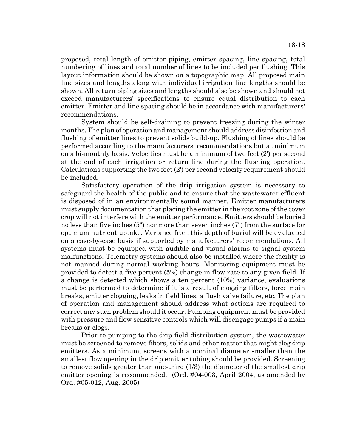proposed, total length of emitter piping, emitter spacing, line spacing, total numbering of lines and total number of lines to be included per flushing. This layout information should be shown on a topographic map. All proposed main line sizes and lengths along with individual irrigation line lengths should be shown. All return piping sizes and lengths should also be shown and should not exceed manufacturers' specifications to ensure equal distribution to each emitter. Emitter and line spacing should be in accordance with manufacturers' recommendations.

System should be self-draining to prevent freezing during the winter months. The plan of operation and management should address disinfection and flushing of emitter lines to prevent solids build-up. Flushing of lines should be performed according to the manufacturers' recommendations but at minimum on a bi-monthly basis. Velocities must be a minimum of two feet (2') per second at the end of each irrigation or return line during the flushing operation. Calculations supporting the two feet (2') per second velocity requirement should be included.

Satisfactory operation of the drip irrigation system is necessary to safeguard the health of the public and to ensure that the wastewater effluent is disposed of in an environmentally sound manner. Emitter manufacturers must supply documentation that placing the emitter in the root zone of the cover crop will not interfere with the emitter performance. Emitters should be buried no less than five inches (5") nor more than seven inches (7") from the surface for optimum nutrient uptake. Variance from this depth of burial will be evaluated on a case-by-case basis if supported by manufacturers' recommendations. All systems must be equipped with audible and visual alarms to signal system malfunctions. Telemetry systems should also be installed where the facility is not manned during normal working hours. Monitoring equipment must be provided to detect a five percent (5%) change in flow rate to any given field. If a change is detected which shows a ten percent (10%) variance, evaluations must be performed to determine if it is a result of clogging filters, force main breaks, emitter clogging, leaks in field lines, a flush valve failure, etc. The plan of operation and management should address what actions are required to correct any such problem should it occur. Pumping equipment must be provided with pressure and flow sensitive controls which will disengage pumps if a main breaks or clogs.

Prior to pumping to the drip field distribution system, the wastewater must be screened to remove fibers, solids and other matter that might clog drip emitters. As a minimum, screens with a nominal diameter smaller than the smallest flow opening in the drip emitter tubing should be provided. Screening to remove solids greater than one-third (1/3) the diameter of the smallest drip emitter opening is recommended. (Ord. #04-003, April 2004, as amended by Ord. #05-012, Aug. 2005)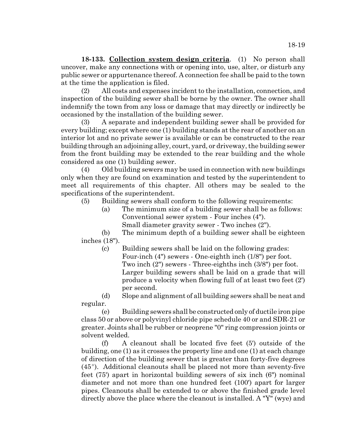**18-133. Collection system design criteria**. (1) No person shall uncover, make any connections with or opening into, use, alter, or disturb any public sewer or appurtenance thereof. A connection fee shall be paid to the town at the time the application is filed.

(2) All costs and expenses incident to the installation, connection, and inspection of the building sewer shall be borne by the owner. The owner shall indemnify the town from any loss or damage that may directly or indirectly be occasioned by the installation of the building sewer.

(3) A separate and independent building sewer shall be provided for every building; except where one (1) building stands at the rear of another on an interior lot and no private sewer is available or can be constructed to the rear building through an adjoining alley, court, yard, or driveway, the building sewer from the front building may be extended to the rear building and the whole considered as one (1) building sewer.

(4) Old building sewers may be used in connection with new buildings only when they are found on examination and tested by the superintendent to meet all requirements of this chapter. All others may be sealed to the specifications of the superintendent.

(5) Building sewers shall conform to the following requirements:

(a) The minimum size of a building sewer shall be as follows: Conventional sewer system - Four inches (4"). Small diameter gravity sewer - Two inches (2").

(b) The minimum depth of a building sewer shall be eighteen inches (18").

(c) Building sewers shall be laid on the following grades: Four-inch (4") sewers - One-eighth inch (1/8") per foot. Two inch (2") sewers - Three-eighths inch (3/8") per foot. Larger building sewers shall be laid on a grade that will produce a velocity when flowing full of at least two feet (2') per second.

(d) Slope and alignment of all building sewers shall be neat and regular.

(e) Building sewers shall be constructed only of ductile iron pipe class 50 or above or polyvinyl chloride pipe schedule 40 or and SDR-21 or greater. Joints shall be rubber or neoprene "0" ring compression joints or solvent welded.

(f) A cleanout shall be located five feet (5') outside of the building, one (1) as it crosses the property line and one (1) at each change of direction of the building sewer that is greater than forty-five degrees  $(45^{\circ})$ . Additional cleanouts shall be placed not more than seventy-five feet (75') apart in horizontal building sewers of six inch (6") nominal diameter and not more than one hundred feet (100') apart for larger pipes. Cleanouts shall be extended to or above the finished grade level directly above the place where the cleanout is installed. A "Y" (wye) and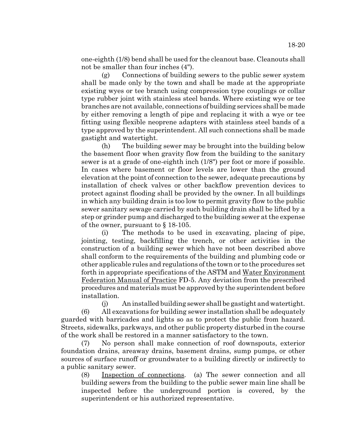one-eighth (1/8) bend shall be used for the cleanout base. Cleanouts shall not be smaller than four inches (4").

(g) Connections of building sewers to the public sewer system shall be made only by the town and shall be made at the appropriate existing wyes or tee branch using compression type couplings or collar type rubber joint with stainless steel bands. Where existing wye or tee branches are not available, connections of building services shall be made by either removing a length of pipe and replacing it with a wye or tee fitting using flexible neoprene adapters with stainless steel bands of a type approved by the superintendent. All such connections shall be made gastight and watertight.

(h) The building sewer may be brought into the building below the basement floor when gravity flow from the building to the sanitary sewer is at a grade of one-eighth inch (1/8") per foot or more if possible. In cases where basement or floor levels are lower than the ground elevation at the point of connection to the sewer, adequate precautions by installation of check valves or other backflow prevention devices to protect against flooding shall be provided by the owner. In all buildings in which any building drain is too low to permit gravity flow to the public sewer sanitary sewage carried by such building drain shall be lifted by a step or grinder pump and discharged to the building sewer at the expense of the owner, pursuant to § 18-105.

(i) The methods to be used in excavating, placing of pipe, jointing, testing, backfilling the trench, or other activities in the construction of a building sewer which have not been described above shall conform to the requirements of the building and plumbing code or other applicable rules and regulations of the town or to the procedures set forth in appropriate specifications of the ASTM and Water Environment Federation Manual of Practice FD-5. Any deviation from the prescribed procedures and materials must be approved by the superintendent before installation.

(j) An installed building sewer shall be gastight and watertight. (6) All excavations for building sewer installation shall be adequately guarded with barricades and lights so as to protect the public from hazard. Streets, sidewalks, parkways, and other public property disturbed in the course of the work shall be restored in a manner satisfactory to the town.

(7) No person shall make connection of roof downspouts, exterior foundation drains, areaway drains, basement drains, sump pumps, or other sources of surface runoff or groundwater to a building directly or indirectly to a public sanitary sewer.

(8) Inspection of connections. (a) The sewer connection and all building sewers from the building to the public sewer main line shall be inspected before the underground portion is covered, by the superintendent or his authorized representative.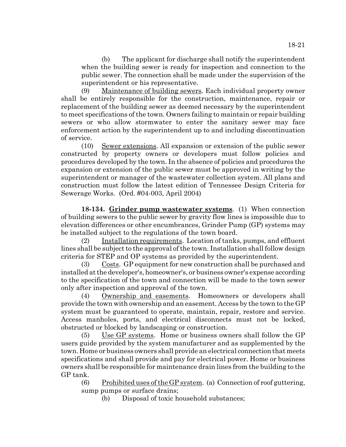(b) The applicant for discharge shall notify the superintendent when the building sewer is ready for inspection and connection to the public sewer. The connection shall be made under the supervision of the superintendent or his representative.

(9) Maintenance of building sewers. Each individual property owner shall be entirely responsible for the construction, maintenance, repair or replacement of the building sewer as deemed necessary by the superintendent to meet specifications of the town. Owners failing to maintain or repair building sewers or who allow stormwater to enter the sanitary sewer may face enforcement action by the superintendent up to and including discontinuation of service.

(10) Sewer extensions. All expansion or extension of the public sewer constructed by property owners or developers must follow policies and procedures developed by the town. In the absence of policies and procedures the expansion or extension of the public sewer must be approved in writing by the superintendent or manager of the wastewater collection system. All plans and construction must follow the latest edition of Tennessee Design Criteria for Sewerage Works. (Ord. #04-003, April 2004)

**18-134. Grinder pump wastewater systems**. (1) When connection of building sewers to the public sewer by gravity flow lines is impossible due to elevation differences or other encumbrances, Grinder Pump (GP) systems may be installed subject to the regulations of the town board.

(2) Installation requirements. Location of tanks, pumps, and effluent lines shall be subject to the approval of the town. Installation shall follow design criteria for STEP and OP systems as provided by the superintendent.

(3) Costs. GP equipment for new construction shall be purchased and installed at the developer's, homeowner's, or business owner's expense according to the specification of the town and connection will be made to the town sewer only after inspection and approval of the town.

(4) Ownership and easements. Homeowners or developers shall provide the town with ownership and an easement. Access by the town to the GP system must be guaranteed to operate, maintain, repair, restore and service. Access manholes, ports, and electrical disconnects must not be locked, obstructed or blocked by landscaping or construction.

 $(5)$  Use GP systems. Home or business owners shall follow the GP users guide provided by the system manufacturer and as supplemented by the town. Home or business owners shall provide an electrical connection that meets specifications and shall provide and pay for electrical power. Home or business owners shall be responsible for maintenance drain lines from the building to the GP tank.

 $(6)$  Prohibited uses of the GP system. (a) Connection of roof guttering, sump pumps or surface drains;

(b) Disposal of toxic household substances;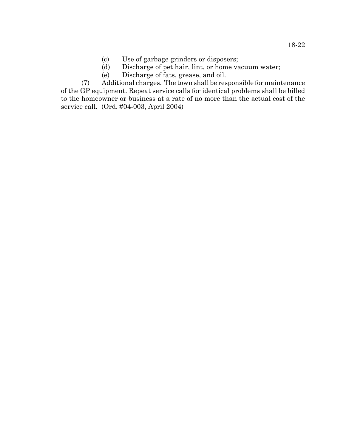- (c) Use of garbage grinders or disposers;
- (d) Discharge of pet hair, lint, or home vacuum water;
- (e) Discharge of fats, grease, and oil.

(7) Additional charges. The town shall be responsible for maintenance of the GP equipment. Repeat service calls for identical problems shall be billed to the homeowner or business at a rate of no more than the actual cost of the service call. (Ord. #04-003, April 2004)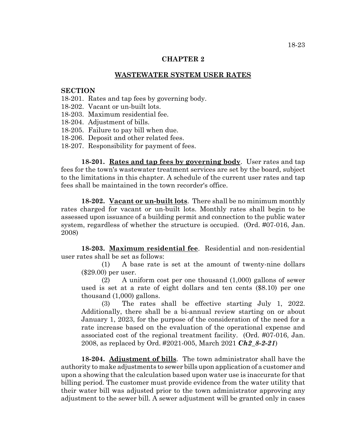# **CHAPTER 2**

## **WASTEWATER SYSTEM USER RATES**

#### **SECTION**

- 18-201. Rates and tap fees by governing body.
- 18-202. Vacant or un-built lots.
- 18-203. Maximum residential fee.
- 18-204. Adjustment of bills.
- 18-205. Failure to pay bill when due.
- 18-206. Deposit and other related fees.
- 18-207. Responsibility for payment of fees.

**18-201. Rates and tap fees by governing body**. User rates and tap fees for the town's wastewater treatment services are set by the board, subject to the limitations in this chapter. A schedule of the current user rates and tap fees shall be maintained in the town recorder's office.

**18-202. Vacant or un-built lots**. There shall be no minimum monthly rates charged for vacant or un-built lots. Monthly rates shall begin to be assessed upon issuance of a building permit and connection to the public water system, regardless of whether the structure is occupied. (Ord. #07-016, Jan. 2008)

**18-203. Maximum residential fee**. Residential and non-residential user rates shall be set as follows:

(1) A base rate is set at the amount of twenty-nine dollars (\$29.00) per user.

(2) A uniform cost per one thousand (1,000) gallons of sewer used is set at a rate of eight dollars and ten cents (\$8.10) per one thousand (1,000) gallons.

(3) The rates shall be effective starting July 1, 2022. Additionally, there shall be a bi-annual review starting on or about January 1, 2023, for the purpose of the consideration of the need for a rate increase based on the evaluation of the operational expense and associated cost of the regional treatment facility. (Ord. #07-016, Jan. 2008, as replaced by Ord. #2021-005, March 2021 *Ch2\_8-2-21*)

**18-204. Adjustment of bills**. The town administrator shall have the authority to make adjustments to sewer bills upon application of a customer and upon a showing that the calculation based upon water use is inaccurate for that billing period. The customer must provide evidence from the water utility that their water bill was adjusted prior to the town administrator approving any adjustment to the sewer bill. A sewer adjustment will be granted only in cases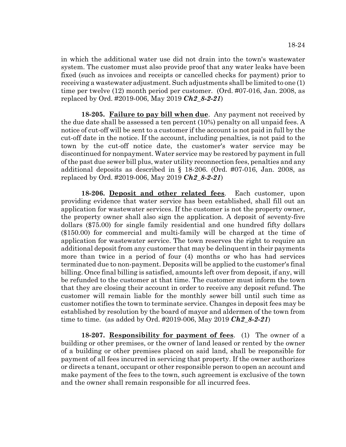in which the additional water use did not drain into the town's wastewater system. The customer must also provide proof that any water leaks have been fixed (such as invoices and receipts or cancelled checks for payment) prior to receiving a wastewater adjustment. Such adjustments shall be limited to one (1) time per twelve (12) month period per customer. (Ord. #07-016, Jan. 2008, as replaced by Ord. #2019-006, May 2019 *Ch2\_8-2-21*)

**18-205. Failure to pay bill when due**. Any payment not received by the due date shall be assessed a ten percent (10%) penalty on all unpaid fees. A notice of cut-off will be sent to a customer if the account is not paid in full by the cut-off date in the notice. If the account, including penalties, is not paid to the town by the cut-off notice date, the customer's water service may be discontinued for nonpayment. Water service may be restored by payment in full of the past due sewer bill plus, water utility reconnection fees, penalties and any additional deposits as described in § 18-206. (Ord. #07-016, Jan. 2008, as replaced by Ord. #2019-006, May 2019 *Ch2\_8-2-21*)

**18-206. Deposit and other related fees**. Each customer, upon providing evidence that water service has been established, shall fill out an application for wastewater services. If the customer is not the property owner, the property owner shall also sign the application. A deposit of seventy-five dollars (\$75.00) for single family residential and one hundred fifty dollars (\$150.00) for commercial and multi-family will be charged at the time of application for wastewater service. The town reserves the right to require an additional deposit from any customer that may be delinquent in their payments more than twice in a period of four (4) months or who has had services terminated due to non-payment. Deposits will be applied to the customer's final billing. Once final billing is satisfied, amounts left over from deposit, if any, will be refunded to the customer at that time. The customer must inform the town that they are closing their account in order to receive any deposit refund. The customer will remain liable for the monthly sewer bill until such time as customer notifies the town to terminate service. Changes in deposit fees may be established by resolution by the board of mayor and aldermen of the town from time to time. (as added by Ord. #2019-006, May 2019 *Ch2\_8-2-21*)

**18-207. Responsibility for payment of fees**. (1) The owner of a building or other premises, or the owner of land leased or rented by the owner of a building or other premises placed on said land, shall be responsible for payment of all fees incurred in servicing that property. If the owner authorizes or directs a tenant, occupant or other responsible person to open an account and make payment of the fees to the town, such agreement is exclusive of the town and the owner shall remain responsible for all incurred fees.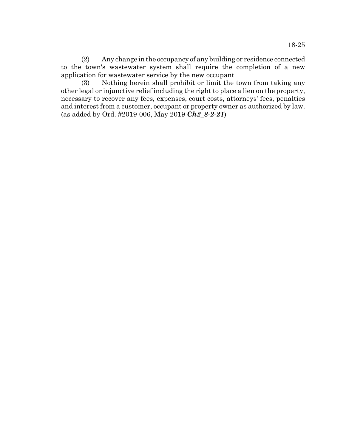(2) Any change in the occupancy of any building or residence connected to the town's wastewater system shall require the completion of a new application for wastewater service by the new occupant

(3) Nothing herein shall prohibit or limit the town from taking any other legal or injunctive relief including the right to place a lien on the property, necessary to recover any fees, expenses, court costs, attorneys' fees, penalties and interest from a customer, occupant or property owner as authorized by law. (as added by Ord. #2019-006, May 2019 *Ch2\_8-2-21*)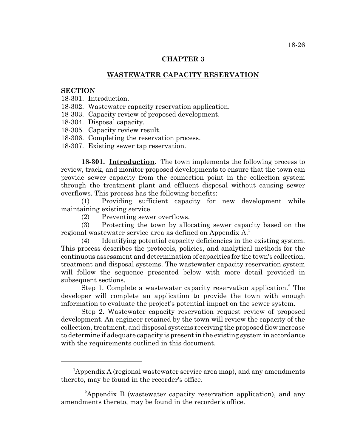## **CHAPTER 3**

## **WASTEWATER CAPACITY RESERVATION**

### **SECTION**

- 18-301. Introduction.
- 18-302. Wastewater capacity reservation application.
- 18-303. Capacity review of proposed development.
- 18-304. Disposal capacity.
- 18-305. Capacity review result.
- 18-306. Completing the reservation process.
- 18-307. Existing sewer tap reservation.

**18-301. Introduction**. The town implements the following process to review, track, and monitor proposed developments to ensure that the town can provide sewer capacity from the connection point in the collection system through the treatment plant and effluent disposal without causing sewer overflows. This process has the following benefits:

(1) Providing sufficient capacity for new development while maintaining existing service.

(2) Preventing sewer overflows.

(3) Protecting the town by allocating sewer capacity based on the regional wastewater service area as defined on Appendix A.1

(4) Identifying potential capacity deficiencies in the existing system. This process describes the protocols, policies, and analytical methods for the continuous assessment and determination of capacities for the town's collection, treatment and disposal systems. The wastewater capacity reservation system will follow the sequence presented below with more detail provided in subsequent sections.

Step 1. Complete a wastewater capacity reservation application.<sup>2</sup> The developer will complete an application to provide the town with enough information to evaluate the project's potential impact on the sewer system.

Step 2. Wastewater capacity reservation request review of proposed development. An engineer retained by the town will review the capacity of the collection, treatment, and disposal systems receiving the proposed flow increase to determine if adequate capacity is present in the existing system in accordance with the requirements outlined in this document.

<sup>&</sup>lt;sup>1</sup>Appendix A (regional wastewater service area map), and any amendments thereto, may be found in the recorder's office.

<sup>&</sup>lt;sup>2</sup>Appendix B (wastewater capacity reservation application), and any amendments thereto, may be found in the recorder's office.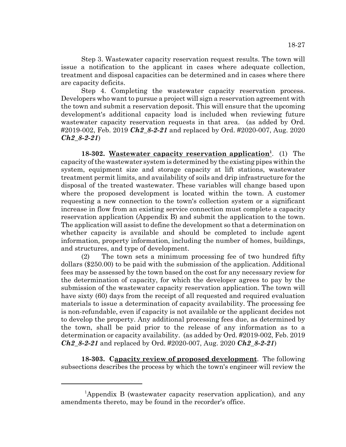Step 3. Wastewater capacity reservation request results. The town will issue a notification to the applicant in cases where adequate collection, treatment and disposal capacities can be determined and in cases where there are capacity deficits.

Step 4. Completing the wastewater capacity reservation process. Developers who want to pursue a project will sign a reservation agreement with the town and submit a reservation deposit. This will ensure that the upcoming development's additional capacity load is included when reviewing future wastewater capacity reservation requests in that area. (as added by Ord. #2019-002, Feb. 2019 *Ch2\_8-2-21* and replaced by Ord. #2020-007, Aug. 2020 *Ch2\_8-2-21*)

**18-302.** Wastewater capacity reservation application<sup>1</sup>. (1) The capacity of the wastewater system is determined by the existing pipes within the system, equipment size and storage capacity at lift stations, wastewater treatment permit limits, and availability of soils and drip infrastructure for the disposal of the treated wastewater. These variables will change based upon where the proposed development is located within the town. A customer requesting a new connection to the town's collection system or a significant increase in flow from an existing service connection must complete a capacity reservation application (Appendix B) and submit the application to the town. The application will assist to define the development so that a determination on whether capacity is available and should be completed to include agent information, property information, including the number of homes, buildings, and structures, and type of development.

(2) The town sets a minimum processing fee of two hundred fifty dollars (\$250.00) to be paid with the submission of the application. Additional fees may be assessed by the town based on the cost for any necessary review for the determination of capacity, for which the developer agrees to pay by the submission of the wastewater capacity reservation application. The town will have sixty (60) days from the receipt of all requested and required evaluation materials to issue a determination of capacity availability. The processing fee is non-refundable, even if capacity is not available or the applicant decides not to develop the property. Any additional processing fees due, as determined by the town, shall be paid prior to the release of any information as to a determination or capacity availability. (as added by Ord. #2019-002, Feb. 2019 *Ch2\_8-2-21* and replaced by Ord. #2020-007, Aug. 2020 *Ch2\_8-2-21*)

**18-303. Capacity review of proposed development**. The following subsections describes the process by which the town's engineer will review the

<sup>&</sup>lt;sup>1</sup>Appendix B (wastewater capacity reservation application), and any amendments thereto, may be found in the recorder's office.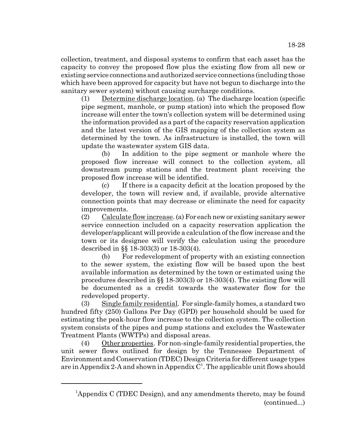collection, treatment, and disposal systems to confirm that each asset has the capacity to convey the proposed flow plus the existing flow from all new or existing service connections and authorized service connections (including those which have been approved for capacity but have not begun to discharge into the sanitary sewer system) without causing surcharge conditions.

(1) Determine discharge location. (a) The discharge location (specific pipe segment, manhole, or pump station) into which the proposed flow increase will enter the town's collection system will be determined using the information provided as a part of the capacity reservation application and the latest version of the GIS mapping of the collection system as determined by the town. As infrastructure is installed, the town will update the wastewater system GIS data.

(b) In addition to the pipe segment or manhole where the proposed flow increase will connect to the collection system, all downstream pump stations and the treatment plant receiving the proposed flow increase will be identified.

(c) If there is a capacity deficit at the location proposed by the developer, the town will review and, if available, provide alternative connection points that may decrease or eliminate the need for capacity improvements.

(2) Calculate flow increase. (a) For each new or existing sanitary sewer service connection included on a capacity reservation application the developer/applicant will provide a calculation of the flow increase and the town or its designee will verify the calculation using the procedure described in §§ 18-303(3) or 18-303(4).

(b) For redevelopment of property with an existing connection to the sewer system, the existing flow will be based upon the best available information as determined by the town or estimated using the procedures described in §§ 18-303(3) or 18-303(4). The existing flow will be documented as a credit towards the wastewater flow for the redeveloped property.

(3) Single family residential. For single-family homes, a standard two hundred fifty (250) Gallons Per Day (GPD) per household should be used for estimating the peak-hour flow increase to the collection system. The collection system consists of the pipes and pump stations and excludes the Wastewater Treatment Plants (WWTPs) and disposal areas.

(4) Other properties. For non-single-family residential properties, the unit sewer flows outlined for design by the Tennessee Department of Environment and Conservation (TDEC) Design Criteria for different usage types are in Appendix 2-A and shown in Appendix  $C^1$ . The applicable unit flows should

<sup>&</sup>lt;sup>1</sup>Appendix C (TDEC Design), and any amendments thereto, may be found (continued...)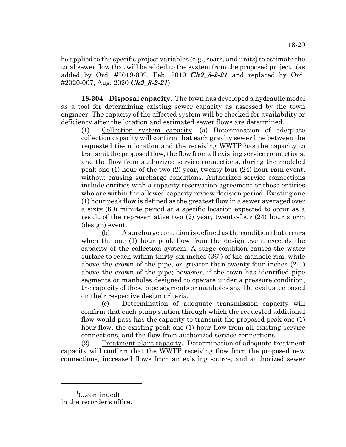be applied to the specific project variables (e.g., seats, and units) to estimate the total sewer flow that will be added to the system from the proposed project. (as added by Ord. #2019-002, Feb. 2019 *Ch2\_8-2-21* and replaced by Ord. #2020-007, Aug. 2020 *Ch2\_8-2-21*)

**18-304. Disposal capacity**. The town has developed a hydraulic model as a tool for determining existing sewer capacity as assessed by the town engineer. The capacity of the affected system will be checked for availability or deficiency after the location and estimated sewer flows are determined.

(1) Collection system capacity. (a) Determination of adequate collection capacity will confirm that each gravity sewer line between the requested tie-in location and the receiving WWTP has the capacity to transmit the proposed flow, the flow from all existing service connections, and the flow from authorized service connections, during the modeled peak one (1) hour of the two (2) year, twenty-four (24) hour rain event, without causing surcharge conditions. Authorized service connections include entities with a capacity reservation agreement or those entities who are within the allowed capacity review decision period. Existing one (1) hour peak flow is defined as the greatest flow in a sewer averaged over a sixty (60) minute period at a specific location expected to occur as a result of the representative two (2) year, twenty-four (24) hour storm (design) event.

(b) A surcharge condition is defined as the condition that occurs when the one (1) hour peak flow from the design event exceeds the capacity of the collection system. A surge condition causes the water surface to reach within thirty-six inches (36") of the manhole rim, while above the crown of the pipe, or greater than twenty-four inches (24") above the crown of the pipe; however, if the town has identified pipe segments or manholes designed to operate under a pressure condition, the capacity of these pipe segments or manholes shall be evaluated based on their respective design criteria.

(c) Determination of adequate transmission capacity will confirm that each pump station through which the requested additional flow would pass has the capacity to transmit the proposed peak one (1) hour flow, the existing peak one (1) hour flow from all existing service connections, and the flow from authorized service connections.

(2) Treatment plant capacity. Determination of adequate treatment capacity will confirm that the WWTP receiving flow from the proposed new connections, increased flows from an existing source, and authorized sewer

<sup>&</sup>lt;sup>1</sup>(...continued) in the recorder's office.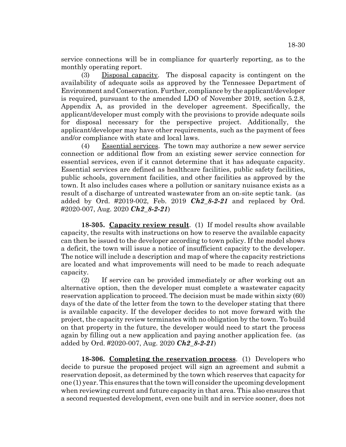service connections will be in compliance for quarterly reporting, as to the monthly operating report.

(3) Disposal capacity. The disposal capacity is contingent on the availability of adequate soils as approved by the Tennessee Department of Environment and Conservation. Further, compliance by the applicant/developer is required, pursuant to the amended LDO of November 2019, section 5.2.8, Appendix A, as provided in the developer agreement. Specifically, the applicant/developer must comply with the provisions to provide adequate soils for disposal necessary for the perspective project. Additionally, the applicant/developer may have other requirements, such as the payment of fees and/or compliance with state and local laws.

(4) Essential services. The town may authorize a new sewer service connection or additional flow from an existing sewer service connection for essential services, even if it cannot determine that it has adequate capacity. Essential services are defined as healthcare facilities, public safety facilities, public schools, government facilities, and other facilities as approved by the town. It also includes cases where a pollution or sanitary nuisance exists as a result of a discharge of untreated wastewater from an on-site septic tank. (as added by Ord. #2019-002, Feb. 2019 *Ch2\_8-2-21* and replaced by Ord. #2020-007, Aug. 2020 *Ch2\_8-2-21*)

**18-305. Capacity review result**. (1) If model results show available capacity, the results with instructions on how to reserve the available capacity can then be issued to the developer according to town policy. If the model shows a deficit, the town will issue a notice of insufficient capacity to the developer. The notice will include a description and map of where the capacity restrictions are located and what improvements will need to be made to reach adequate capacity.

(2) If service can be provided immediately or after working out an alternative option, then the developer must complete a wastewater capacity reservation application to proceed. The decision must be made within sixty (60) days of the date of the letter from the town to the developer stating that there is available capacity. If the developer decides to not move forward with the project, the capacity review terminates with no obligation by the town. To build on that property in the future, the developer would need to start the process again by filling out a new application and paying another application fee. (as added by Ord. #2020-007, Aug. 2020 *Ch2\_8-2-21*)

**18-306. Completing the reservation process**. (1) Developers who decide to pursue the proposed project will sign an agreement and submit a reservation deposit, as determined by the town which reserves that capacity for one (1) year. This ensures that the town will consider the upcoming development when reviewing current and future capacity in that area. This also ensures that a second requested development, even one built and in service sooner, does not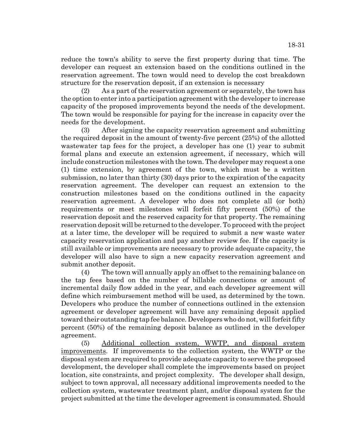reduce the town's ability to serve the first property during that time. The developer can request an extension based on the conditions outlined in the reservation agreement. The town would need to develop the cost breakdown structure for the reservation deposit, if an extension is necessary

(2) As a part of the reservation agreement or separately, the town has the option to enter into a participation agreement with the developer to increase capacity of the proposed improvements beyond the needs of the development. The town would be responsible for paying for the increase in capacity over the needs for the development.

(3) After signing the capacity reservation agreement and submitting the required deposit in the amount of twenty-five percent (25%) of the allotted wastewater tap fees for the project, a developer has one (1) year to submit formal plans and execute an extension agreement, if necessary, which will include construction milestones with the town. The developer may request a one (1) time extension, by agreement of the town, which must be a written submission, no later than thirty (30) days prior to the expiration of the capacity reservation agreement. The developer can request an extension to the construction milestones based on the conditions outlined in the capacity reservation agreement. A developer who does not complete all (or both) requirements or meet milestones will forfeit fifty percent (50%) of the reservation deposit and the reserved capacity for that property. The remaining reservation deposit will be returned to the developer. To proceed with the project at a later time, the developer will be required to submit a new waste water capacity reservation application and pay another review fee. If the capacity is still available or improvements are necessary to provide adequate capacity, the developer will also have to sign a new capacity reservation agreement and submit another deposit.

(4) The town will annually apply an offset to the remaining balance on the tap fees based on the number of billable connections or amount of incremental daily flow added in the year, and each developer agreement will define which reimbursement method will be used, as determined by the town. Developers who produce the number of connections outlined in the extension agreement or developer agreement will have any remaining deposit applied toward their outstanding tap fee balance. Developers who do not, will forfeit fifty percent (50%) of the remaining deposit balance as outlined in the developer agreement.

(5) Additional collection system, WWTP, and disposal system improvements. If improvements to the collection system, the WWTP or the disposal system are required to provide adequate capacity to serve the proposed development, the developer shall complete the improvements based on project location, site constraints, and project complexity. The developer shall design, subject to town approval, all necessary additional improvements needed to the collection system, wastewater treatment plant, and/or disposal system for the project submitted at the time the developer agreement is consummated. Should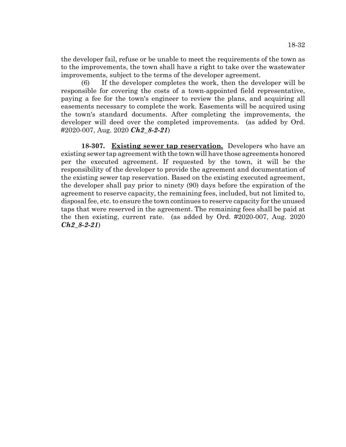the developer fail, refuse or be unable to meet the requirements of the town as to the improvements, the town shall have a right to take over the wastewater improvements, subject to the terms of the developer agreement.

(6) If the developer completes the work, then the developer will be responsible for covering the costs of a town-appointed field representative, paying a fee for the town's engineer to review the plans, and acquiring all easements necessary to complete the work. Easements will be acquired using the town's standard documents. After completing the improvements, the developer will deed over the completed improvements. (as added by Ord. #2020-007, Aug. 2020 *Ch2\_8-2-21*)

**18-307. Existing sewer tap reservation.** Developers who have an existing sewer tap agreement with the town will have those agreements honored per the executed agreement. If requested by the town, it will be the responsibility of the developer to provide the agreement and documentation of the existing sewer tap reservation. Based on the existing executed agreement, the developer shall pay prior to ninety (90) days before the expiration of the agreement to reserve capacity, the remaining fees, included, but not limited to, disposal fee, etc. to ensure the town continues to reserve capacity for the unused taps that were reserved in the agreement. The remaining fees shall be paid at the then existing, current rate. (as added by Ord. #2020-007, Aug. 2020 *Ch2\_8-2-21*)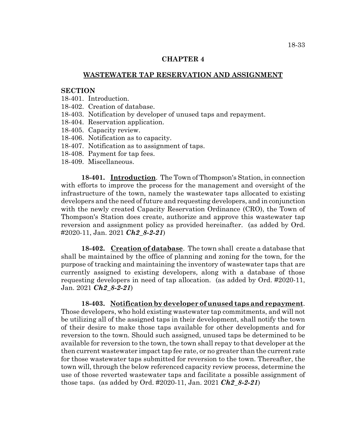## **CHAPTER 4**

# **WASTEWATER TAP RESERVATION AND ASSIGNMENT**

#### **SECTION**

- 18-401. Introduction.
- 18-402. Creation of database.
- 18-403. Notification by developer of unused taps and repayment.
- 18-404. Reservation application.
- 18-405. Capacity review.
- 18-406. Notification as to capacity.
- 18-407. Notification as to assignment of taps.
- 18-408. Payment for tap fees.
- 18-409. Miscellaneous.

**18-401. Introduction**. The Town of Thompson's Station, in connection with efforts to improve the process for the management and oversight of the infrastructure of the town, namely the wastewater taps allocated to existing developers and the need of future and requesting developers, and in conjunction with the newly created Capacity Reservation Ordinance (CRO), the Town of Thompson's Station does create, authorize and approve this wastewater tap reversion and assignment policy as provided hereinafter. (as added by Ord. #2020-11, Jan. 2021 *Ch2\_8-2-21*)

**18-402. Creation of database**. The town shall create a database that shall be maintained by the office of planning and zoning for the town, for the purpose of tracking and maintaining the inventory of wastewater taps that are currently assigned to existing developers, along with a database of those requesting developers in need of tap allocation. (as added by Ord. #2020-11, Jan. 2021 *Ch2\_8-2-21*)

**18-403. Notification by developer of unused taps and repayment**. Those developers, who hold existing wastewater tap commitments, and will not be utilizing all of the assigned taps in their development, shall notify the town of their desire to make those taps available for other developments and for reversion to the town. Should such assigned, unused taps be determined to be available for reversion to the town, the town shall repay to that developer at the then current wastewater impact tap fee rate, or no greater than the current rate for those wastewater taps submitted for reversion to the town. Thereafter, the town will, through the below referenced capacity review process, determine the use of those reverted wastewater taps and facilitate a possible assignment of those taps. (as added by Ord. #2020-11, Jan. 2021 *Ch2\_8-2-21*)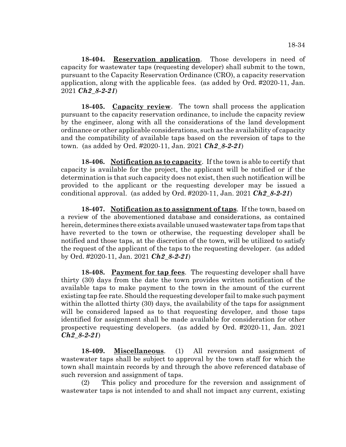**18-404. Reservation application**. Those developers in need of capacity for wastewater taps (requesting developer) shall submit to the town, pursuant to the Capacity Reservation Ordinance (CRO), a capacity reservation application, along with the applicable fees. (as added by Ord. #2020-11, Jan. 2021 *Ch2\_8-2-21*)

**18-405. Capacity review**. The town shall process the application pursuant to the capacity reservation ordinance, to include the capacity review by the engineer, along with all the considerations of the land development ordinance or other applicable considerations, such as the availability of capacity and the compatibility of available taps based on the reversion of taps to the town. (as added by Ord. #2020-11, Jan. 2021 *Ch2\_8-2-21*)

**18-406. Notification as to capacity**. If the town is able to certify that capacity is available for the project, the applicant will be notified or if the determination is that such capacity does not exist, then such notification will be provided to the applicant or the requesting developer may be issued a conditional approval. (as added by Ord. #2020-11, Jan. 2021 *Ch2\_8-2-21*)

**18-407. Notification as to assignment of taps**. If the town, based on a review of the abovementioned database and considerations, as contained herein, determines there exists available unused wastewater taps from taps that have reverted to the town or otherwise, the requesting developer shall be notified and those taps, at the discretion of the town, will be utilized to satisfy the request of the applicant of the taps to the requesting developer. (as added by Ord. #2020-11, Jan. 2021 *Ch2\_8-2-21*)

**18-408. Payment for tap fees**. The requesting developer shall have thirty (30) days from the date the town provides written notification of the available taps to make payment to the town in the amount of the current existing tap fee rate. Should the requesting developer fail to make such payment within the allotted thirty (30) days, the availability of the taps for assignment will be considered lapsed as to that requesting developer, and those taps identified for assignment shall be made available for consideration for other prospective requesting developers. (as added by Ord. #2020-11, Jan. 2021 *Ch2\_8-2-21*)

**18-409. Miscellaneous**. (1) All reversion and assignment of wastewater taps shall be subject to approval by the town staff for which the town shall maintain records by and through the above referenced database of such reversion and assignment of taps.

(2) This policy and procedure for the reversion and assignment of wastewater taps is not intended to and shall not impact any current, existing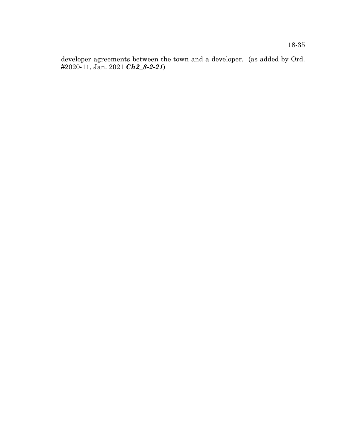developer agreements between the town and a developer. (as added by Ord. #2020-11, Jan. 2021 *Ch2\_8-2-21*)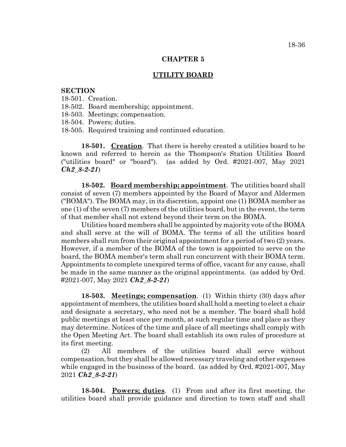#### **CHAPTER 5**

## **UTILITY BOARD**

#### **SECTION**

- 18-501. Creation.
- 18-502. Board membership; appointment.
- 18-503. Meetings; compensation.
- 18-504. Powers; duties.
- 18-505. Required training and continued education.

**18-501. Creation**. That there is hereby created a utilities board to be known and referred to herein as the Thompson's Station Utilities Board ("utilities board" or "board"). (as added by Ord. #2021-007, May 2021 *Ch2\_8-2-21*)

**18-502. Board membership; appointment**. The utilities board shall consist of seven (7) members appointed by the Board of Mayor and Aldermen ("BOMA"). The BOMA may, in its discretion, appoint one (1) BOMA member as one (1) of the seven (7) members of the utilities board, but in the event, the term of that member shall not extend beyond their term on the BOMA.

Utilities board members shall be appointed by majority vote of the BOMA and shall serve at the will of BOMA. The terms of all the utilities board members shall run from their original appointment for a period of two (2) years. However, if a member of the BOMA of the town is appointed to serve on the board, the BOMA member's term shall run concurrent with their BOMA term. Appointments to complete unexpired terms of office, vacant for any cause, shall be made in the same manner as the original appointments. (as added by Ord. #2021-007, May 2021 *Ch2\_8-2-21*)

**18-503. Meetings; compensation**. (1) Within thirty (30) days after appointment of members, the utilities board shall hold a meeting to elect a chair and designate a secretary, who need not be a member. The board shall hold public meetings at least once per month, at such regular time and place as they may determine. Notices of the time and place of all meetings shall comply with the Open Meeting Act. The board shall establish its own rules of procedure at its first meeting.

(2) All members of the utilities board shall serve without compensation, but they shall be allowed necessary traveling and other expenses while engaged in the business of the board. (as added by Ord. #2021-007, May 2021 *Ch2\_8-2-21*)

**18-504. Powers; duties**. (1) From and after its first meeting, the utilities board shall provide guidance and direction to town staff and shall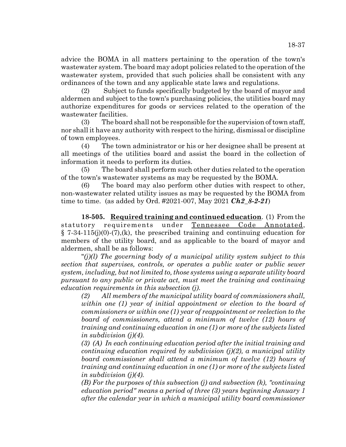advice the BOMA in all matters pertaining to the operation of the town's wastewater system. The board may adopt policies related to the operation of the wastewater system, provided that such policies shall be consistent with any ordinances of the town and any applicable state laws and regulations.

(2) Subject to funds specifically budgeted by the board of mayor and aldermen and subject to the town's purchasing policies, the utilities board may authorize expenditures for goods or services related to the operation of the wastewater facilities.

(3) The board shall not be responsible for the supervision of town staff, nor shall it have any authority with respect to the hiring, dismissal or discipline of town employees.

(4) The town administrator or his or her designee shall be present at all meetings of the utilities board and assist the board in the collection of information it needs to perform its duties.

(5) The board shall perform such other duties related to the operation of the town's wastewater systems as may be requested by the BOMA.

(6) The board may also perform other duties with respect to other, non-wastewater related utility issues as may be requested by the BOMA from time to time. (as added by Ord. #2021-007, May 2021 *Ch2\_8-2-21*)

**18-505. Required training and continued education**. (1) From the statutory requirements under Tennessee Code Annotated,  $\S 7-34-115(j)(0)-(7)(k)$ , the prescribed training and continuing education for members of the utility board, and as applicable to the board of mayor and aldermen, shall be as follows:

"*(j)(l) The governing body of a municipal utility system subject to this section that supervises, controls, or operates a public water or public sewer system, including, but not limited to, those systems using a separate utility board pursuant to any public or private act, must meet the training and continuing education requirements in this subsection (j).*

*(2) All members of the municipal utility board of commissioners shall, within one (1) year of initial appointment or election to the board of commissioners or within one (1) year of reappointment or reelection to the board of commissioners, attend a minimum of twelve (12) hours of training and continuing education in one (1) or more of the subjects listed in subdivision (j)(4).*

*(3) (A) In each continuing education period after the initial training and continuing education required by subdivision (j)(2), a municipal utility board commissioner shall attend a minimum of twelve (12) hours of training and continuing education in one (1) or more of the subjects listed in subdivision (j)(4).*

*(B) For the purposes of this subsection (j) and subsection (k), "continuing education period" means a period of three (3) years beginning January 1 after the calendar year in which a municipal utility board commissioner*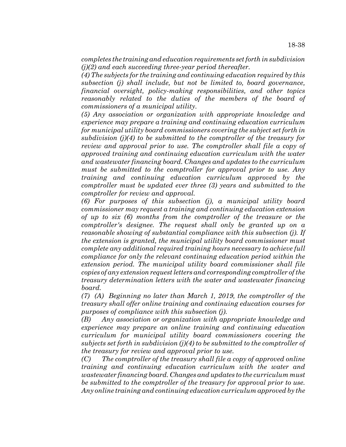*completes the training and education requirements set forth in subdivision (j)(2) and each succeeding three-year period thereafter.*

*(4) The subjects for the training and continuing education required by this subsection (j) shall include, but not be limited to, board governance, financial oversight, policy-making responsibilities, and other topics reasonably related to the duties of the members of the board of commissioners of a municipal utility.*

*(5) Any association or organization with appropriate knowledge and experience may prepare a training and continuing education curriculum for municipal utility board commissioners covering the subject set forth in subdivision (j)(4) to be submitted to the comptroller of the treasury for review and approval prior to use. The comptroller shall file a copy of approved training and continuing education curriculum with the water and wastewater financing board. Changes and updates to the curriculum must be submitted to the comptroller for approval prior to use. Any training and continuing education curriculum approved by the comptroller must be updated ever three (3) years and submitted to the comptroller for review and approval.*

*(6) For purposes of this subsection (j), a municipal utility board commissioner may request a training and continuing education extension of up to six (6) months from the comptroller of the treasure or the comptroller's designee. The request shall only be granted up on a reasonable showing of substantial compliance with this subsection (j). If the extension is granted, the municipal utility board commissioner must complete any additional required training hours necessary to achieve full compliance for only the relevant continuing education period within the extension period. The municipal utility board commissioner shall file copies of any extension request letters and corresponding comptroller of the treasury determination letters with the water and wastewater financing board.*

*(7) (A) Beginning no later than March 1, 2019, the comptroller of the treasury shall offer online training and continuing education courses for purposes of compliance with this subsection (j).*

*(B) Any association or organization with appropriate knowledge and experience may prepare an online training and continuing education curriculum for municipal utility board commissioners covering the subjects set forth in subdivision (j)(4) to be submitted to the comptroller of the treasury for review and approval prior to use.*

*(C) The comptroller of the treasury shall file a copy of approved online training and continuing education curriculum with the water and wastewater financing board. Changes and updates to the curriculum must be submitted to the comptroller of the treasury for approval prior to use. Any online training and continuing education curriculum approved by the*